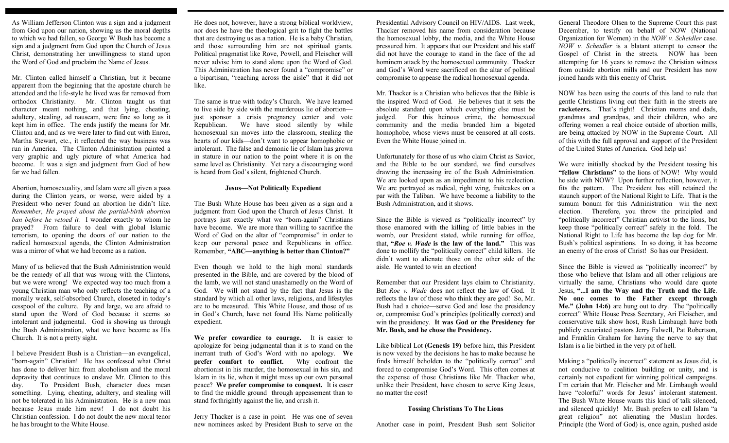As William Jefferson Clinton was a sign and a judgment from God upon our nation, showing us the moral depths to which we had fallen, so George W Bush has become a sign and a judgment from God upon the Church of Jesus Christ, demonstrating her unwillingness to stand upon the Word of God and proclaim the Name of Jesus.

Mr. Clinton called himself a Christian, but it became apparent from the beginning that the apostate church he attended and the life-style he lived was far removed from orthodox Christianity. Mr. Clinton taught us that character meant nothing, and that lying, cheating, adultery, stealing, ad nauseam, were fine so long as it kept him in office. The ends justify the means for Mr. Clinton and, and as we were later to find out with Enron, Martha Stewart, etc., it reflected the way business was run in America. The Clinton Administration painted a very graphic and ugly picture of what America had become. It was a sign and judgment from God of how far we had fallen.

Abortion, homosexuality, and Islam were all given a pass during the Clinton years, or worse, were aided by a President who never found an abortion he didn't like. *Remember, He prayed about the partial-birth abortion ban before he vetoed it.* I wonder exactly to whom he prayed? From failure to deal with global Islamic terrorism, to opening the doors of our nation to the radical homosexual agenda, the Clinton Administration was a mirror of what we had become as a nation.

Many of us believed that the Bush Administration would be the remedy of all that was wrong with the Clintons, but we were wrong! We expected way too much from a young Christian man who only reflects the teaching of a morally weak, self-absorbed Church, closeted in today's cesspool of the culture. By and large, we are afraid to stand upon the Word of God because it seems so intolerant and judgmental. God is showing us through the Bush Administration, what we have become as His Church. It is not a pretty sight.

I believe President Bush is a Christian—an evangelical, "born-again" Christian! He has confessed what Christ has done to deliver him from alcoholism and the moral depravity that continues to enslave Mr. Clinton to this day. To President Bush, character does mean something. Lying, cheating, adultery, and stealing will not be tolerated in his Administration. He is a new man because Jesus made him new! I do not doubt his Christian confession. I do not doubt the new moral tenor he has brought to the White House.

He does not, however, have a strong biblical worldview, nor does he have the theological grit to fight the battles that are destroying us as a nation. He is a baby Christian, and those surrounding him are not spiritual giants. Political pragmatist like Rove, Powell, and Fleischer will never advise him to stand alone upon the Word of God. This Administration has never found a "compromise" or a bipartisan, "reaching across the aisle" that it did not like.

The same is true with today's Church. We have learned to live side by side with the murderous lie of abortion just sponsor a crisis pregnancy center and vote Republican. We have stood silently by while homosexual sin moves into the classroom, stealing the hearts of our kids—don't want to appear homophobic or intolerant. The false and demonic lie of Islam has grown in stature in our nation to the point where it is on the same level as Christianity. Yet nary a discouraging word is heard from God's silent, frightened Church.

### **Jesus—Not Politically Expedient**

The Bush White House has been given as a sign and a judgment from God upon the Church of Jesus Christ. It portrays just exactly what we "born-again" Christians have become. We are more than willing to sacrifice the Word of God on the altar of "compromise" in order to keep our personal peace and Republicans in office. Remember, **"ABC—anything is better than Clinton?"** 

Even though we hold to the high moral standards presented in the Bible, and are covered by the blood of the lamb, we will not stand unashamedly on the Word of God. We will not stand by the fact that Jesus is the standard by which all other laws, religions, and lifestyles are to be measured. This White House, and those of us in God's Church, have not found His Name politically expedient.

**We prefer cowardice to courage.** It is easier to apologize for being judgmental than it is to stand on the inerrant truth of God's Word with no apology. **We prefer comfort to conflict.** Why confront the abortionist in his murder, the homosexual in his sin, and Islam in its lie, when it might mess up our own personal peace? **We prefer compromise to conquest.** It is easer to find the middle ground through appeasement than to stand forthrightly against the lie, and crush it.

Jerry Thacker is a case in point. He was one of seven new nominees asked by President Bush to serve on the Presidential Advisory Council on HIV/AIDS. Last week, Thacker removed his name from consideration because the homosexual lobby, the media, and the White House pressured him. It appears that our President and his staff did not have the courage to stand in the face of the ad hominem attack by the homosexual community. Thacker and God's Word were sacrificed on the altar of political compromise to appease the radical homosexual agenda.

Mr. Thacker is a Christian who believes that the Bible is the inspired Word of God. He believes that it sets the absolute standard upon which everything else must be judged. For this heinous crime, the homosexual community and the media branded him a bigoted homophobe, whose views must be censored at all costs. Even the White House joined in.

Unfortunately for those of us who claim Christ as Savior, and the Bible to be our standard, we find ourselves drawing the increasing ire of the Bush Administration. We are looked upon as an impediment to his reelection. We are portrayed as radical, right wing, fruitcakes on a par with the Taliban. We have become a liability to the Bush Administration, and it shows.

Since the Bible is viewed as "politically incorrect" by those enamored with the killing of little babies in the womb, our President stated, while running for office, that, **"***Roe v. Wade* **is the law of the land."** This was done to mollify the "politically correct" child killers. He didn't want to alienate those on the other side of the aisle. He wanted to win an election!

Remember that our President lays claim to Christianity. But *Roe v. Wade* does not reflect the law of God. It reflects the law of those who think they are god! So, Mr. Bush had a choice—serve God and lose the presidency or, compromise God's principles (politically correct) and win the presidency. **It was God or the Presidency for Mr. Bush, and he chose the Presidency.** 

Like biblical Lot **(Genesis 19)** before him, this President is now vexed by the decisions he has to make because he finds himself beholden to the "politically correct" and forced to compromise God's Word. This often comes at the expense of those Christians like Mr. Thacker who, unlike their President, have chosen to serve King Jesus, no matter the cost!

#### **Tossing Christians To The Lions**

Another case in point, President Bush sent Solicitor

General Theodore Olsen to the Supreme Court this past December, to testify on behalf of NOW (National Organization for Women) in the *NOW v. Scheidler* case. *NOW v. Scheidler* is a blatant attempt to censor the Gospel of Christ in the streets. NOW has been attempting for 16 years to remove the Christian witness from outside abortion mills and our President has now joined hands with this enemy of Christ.

NOW has been using the courts of this land to rule that gentle Christians living out their faith in the streets are **racketeers.** That's right! Christian moms and dads, grandmas and grandpas, and their children, who are offering women a real choice outside of abortion mills, are being attacked by NOW in the Supreme Court. All of this with the full approval and support of the President of the United States of America. God help us!

We were initially shocked by the President tossing his **"fellow Christians"** to the lions of NOW! Why would he side with NOW? Upon further reflection, however, it fits the pattern. The President has still retained the staunch support of the National Right to Life. That is the sumum bonum for this Administration—win the next election. Therefore, you throw the principled and "politically incorrect" Christian activist to the lions, but keep those "politically correct" safely in the fold. The National Right to Life has become the lap dog for Mr. Bush's political aspirations. In so doing, it has become an enemy of the cross of Christ! So has our President.

Since the Bible is viewed as "politically incorrect" by those who believe that Islam and all other religions are virtually the same, Christians who would dare quote Jesus, **"...I am the Way and the Truth and the Life**. **No one comes to the Father except through Me." (John 14:6)** are hung out to dry. The "politically correct" White House Press Secretary, Ari Fleischer, and conservative talk show host, Rush Limbaugh have both publicly excoriated pastors Jerry Falwell, Pat Robertson, and Franklin Graham for having the nerve to say that Islam is a lie birthed in the very pit of hell.

Making a "politically incorrect" statement as Jesus did, is not conducive to coalition building or unity, and is certainly not expedient for winning political campaigns. I'm certain that Mr. Fleischer and Mr. Limbaugh would have "colorful" words for Jesus' intolerant statement. The Bush White House wants this kind of talk silenced, and silenced quickly! Mr. Bush prefers to call Islam "a great religion" not alienating the Muslim hordes. Principle (the Word of God) is, once again, pushed aside